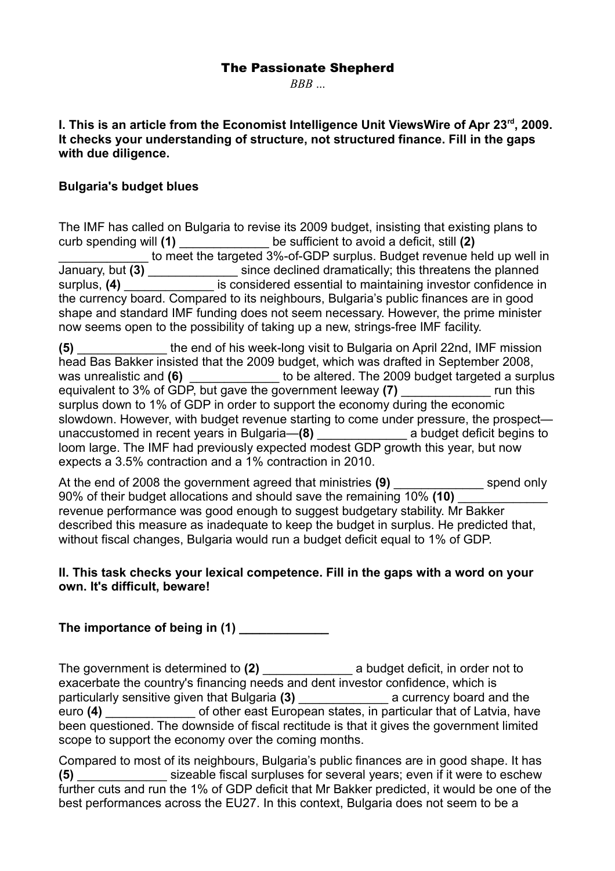## The Passionate Shepherd

*BBB* ...

**I. This is an article from the Economist Intelligence Unit ViewsWire of Apr 23rd, 2009. It checks your understanding of structure, not structured finance. Fill in the gaps with due diligence.** 

### **Bulgaria's budget blues**

The IMF has called on Bulgaria to revise its 2009 budget, insisting that existing plans to curb spending will **(1)** \_\_\_\_\_\_\_\_\_\_\_\_\_ be sufficient to avoid a deficit, still **(2)** to meet the targeted 3%-of-GDP surplus. Budget revenue held up well in January, but **(3)** \_\_\_\_\_\_\_\_\_\_\_\_\_ since declined dramatically; this threatens the planned surplus, (4) **Exercise 3** is considered essential to maintaining investor confidence in the currency board. Compared to its neighbours, Bulgaria's public finances are in good shape and standard IMF funding does not seem necessary. However, the prime minister now seems open to the possibility of taking up a new, strings-free IMF facility.

**(5)** \_\_\_\_\_\_\_\_\_\_\_\_\_ the end of his week-long visit to Bulgaria on April 22nd, IMF mission head Bas Bakker insisted that the 2009 budget, which was drafted in September 2008, was unrealistic and **(6)** \_\_\_\_\_\_\_\_\_\_\_\_\_ to be altered. The 2009 budget targeted a surplus equivalent to 3% of GDP, but gave the government leeway **(7)** \_\_\_\_\_\_\_\_\_\_\_\_\_ run this surplus down to 1% of GDP in order to support the economy during the economic slowdown. However, with budget revenue starting to come under pressure, the prospect unaccustomed in recent years in Bulgaria—**(8)** \_\_\_\_\_\_\_\_\_\_\_\_\_ a budget deficit begins to loom large. The IMF had previously expected modest GDP growth this year, but now expects a 3.5% contraction and a 1% contraction in 2010.

At the end of 2008 the government agreed that ministries (9) spend only 90% of their budget allocations and should save the remaining 10% (10) revenue performance was good enough to suggest budgetary stability. Mr Bakker described this measure as inadequate to keep the budget in surplus. He predicted that, without fiscal changes, Bulgaria would run a budget deficit equal to 1% of GDP.

### **II. This task checks your lexical competence. Fill in the gaps with a word on your own. It's difficult, beware!**

# The importance of being in (1)

The government is determined to (2) **a** budget deficit, in order not to exacerbate the country's financing needs and dent investor confidence, which is particularly sensitive given that Bulgaria **(3)** \_\_\_\_\_\_\_\_\_\_\_\_\_ a currency board and the euro **(4) Exercise 2** of other east European states, in particular that of Latvia, have been questioned. The downside of fiscal rectitude is that it gives the government limited scope to support the economy over the coming months.

Compared to most of its neighbours, Bulgaria's public finances are in good shape. It has **(5)** \_\_\_\_\_\_\_\_\_\_\_\_\_ sizeable fiscal surpluses for several years; even if it were to eschew further cuts and run the 1% of GDP deficit that Mr Bakker predicted, it would be one of the best performances across the EU27. In this context, Bulgaria does not seem to be a